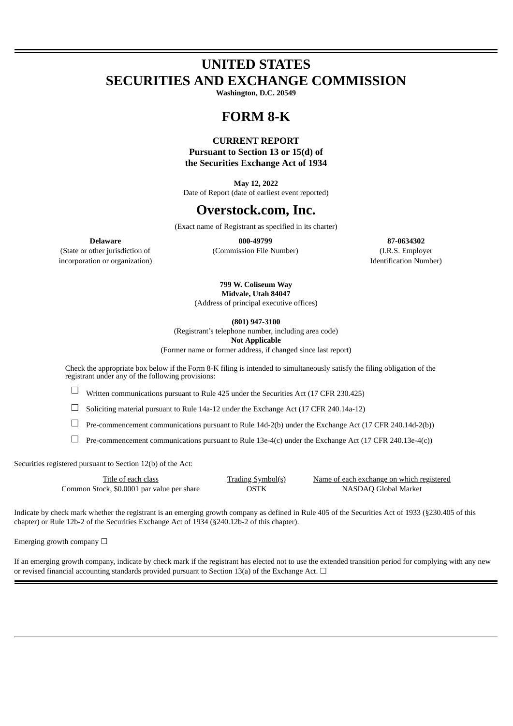# **UNITED STATES SECURITIES AND EXCHANGE COMMISSION**

**Washington, D.C. 20549**

## **FORM 8-K**

### **CURRENT REPORT Pursuant to Section 13 or 15(d) of the Securities Exchange Act of 1934**

**May 12, 2022** Date of Report (date of earliest event reported)

## **Overstock.com, Inc.**

(Exact name of Registrant as specified in its charter)

(State or other jurisdiction of (Commission File Number) (I.R.S. Employer incorporation or organization) Identification Number)

**Delaware 000-49799 87-0634302**

**799 W. Coliseum Way Midvale, Utah 84047** (Address of principal executive offices)

**(801) 947-3100**

(Registrant's telephone number, including area code)

**Not Applicable**

(Former name or former address, if changed since last report)

Check the appropriate box below if the Form 8-K filing is intended to simultaneously satisfy the filing obligation of the registrant under any of the following provisions:

 $\Box$  Written communications pursuant to Rule 425 under the Securities Act (17 CFR 230.425)

 $\Box$  Soliciting material pursuant to Rule 14a-12 under the Exchange Act (17 CFR 240.14a-12)

☐ Pre-commencement communications pursuant to Rule 14d-2(b) under the Exchange Act (17 CFR 240.14d-2(b))

 $\Box$  Pre-commencement communications pursuant to Rule 13e-4(c) under the Exchange Act (17 CFR 240.13e-4(c))

Securities registered pursuant to Section 12(b) of the Act:

| Title of each class                        | <b>Trading Symbol(s)</b> | Name of each exchange on which registered |
|--------------------------------------------|--------------------------|-------------------------------------------|
| Common Stock, \$0.0001 par value per share | OSTK                     | NASDAQ Global Market                      |

Indicate by check mark whether the registrant is an emerging growth company as defined in Rule 405 of the Securities Act of 1933 (§230.405 of this chapter) or Rule 12b-2 of the Securities Exchange Act of 1934 (§240.12b-2 of this chapter).

Emerging growth company  $\Box$ 

If an emerging growth company, indicate by check mark if the registrant has elected not to use the extended transition period for complying with any new or revised financial accounting standards provided pursuant to Section 13(a) of the Exchange Act.  $\Box$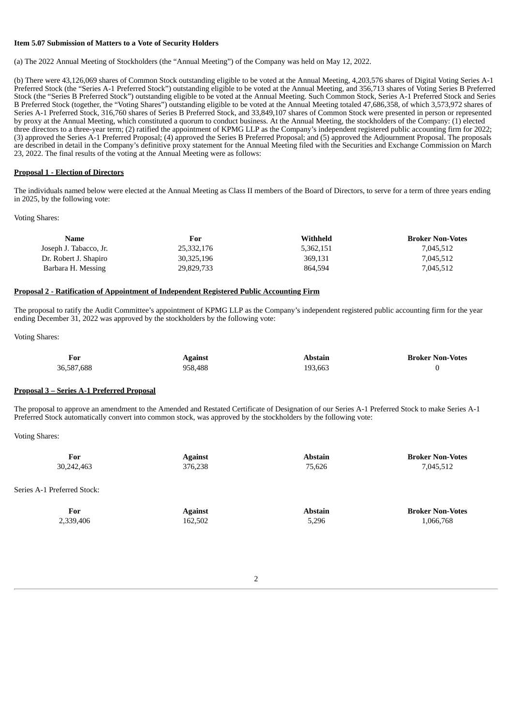#### **Item 5.07 Submission of Matters to a Vote of Security Holders**

(a) The 2022 Annual Meeting of Stockholders (the "Annual Meeting") of the Company was held on May 12, 2022.

(b) There were 43,126,069 shares of Common Stock outstanding eligible to be voted at the Annual Meeting, 4,203,576 shares of Digital Voting Series A-1 Preferred Stock (the "Series A-1 Preferred Stock") outstanding eligible to be voted at the Annual Meeting, and 356,713 shares of Voting Series B Preferred Stock (the "Series B Preferred Stock") outstanding eligible to be voted at the Annual Meeting. Such Common Stock, Series A-1 Preferred Stock and Series B Preferred Stock (together, the "Voting Shares") outstanding eligible to be voted at the Annual Meeting totaled 47,686,358, of which 3,573,972 shares of Series A-1 Preferred Stock, 316,760 shares of Series B Preferred Stock, and 33,849,107 shares of Common Stock were presented in person or represented by proxy at the Annual Meeting, which constituted a quorum to conduct business. At the Annual Meeting, the stockholders of the Company: (1) elected three directors to a three-year term; (2) ratified the appointment of KPMG LLP as the Company's independent registered public accounting firm for 2022; (3) approved the Series A-1 Preferred Proposal; (4) approved the Series B Preferred Proposal; and (5) approved the Adjournment Proposal. The proposals are described in detail in the Company's definitive proxy statement for the Annual Meeting filed with the Securities and Exchange Commission on March 23, 2022. The final results of the voting at the Annual Meeting were as follows:

#### **Proposal 1 - Election of Directors**

The individuals named below were elected at the Annual Meeting as Class II members of the Board of Directors, to serve for a term of three years ending in 2025, by the following vote:

Voting Shares:

| Name                   | For        | Withheld  | <b>Broker Non-Votes</b> |
|------------------------|------------|-----------|-------------------------|
| Joseph J. Tabacco, Jr. | 25,332,176 | 5,362,151 | 7,045,512               |
| Dr. Robert J. Shapiro  | 30,325,196 | 369,131   | 7,045,512               |
| Barbara H. Messing     | 29,829,733 | 864.594   | 7.045.512               |

#### **Proposal 2 - Ratification of Appointment of Independent Registered Public Accounting Firm**

The proposal to ratify the Audit Committee's appointment of KPMG LLP as the Company's independent registered public accounting firm for the year ending December 31, 2022 was approved by the stockholders by the following vote:

Voting Shares:

| For        | <b>Against</b> | Abstain | <b>Broker Non-Votes</b> |
|------------|----------------|---------|-------------------------|
| 36,587,688 | 958.488        | 193.663 |                         |

#### **Proposal 3 – Series A-1 Preferred Proposal**

The proposal to approve an amendment to the Amended and Restated Certificate of Designation of our Series A-1 Preferred Stock to make Series A-1 Preferred Stock automatically convert into common stock, was approved by the stockholders by the following vote:

Voting Shares:

Series

| For<br>30,242,463    | <b>Against</b><br>376,238 | <b>Abstain</b><br>75,626 | <b>Broker Non-Votes</b><br>7,045,512 |
|----------------------|---------------------------|--------------------------|--------------------------------------|
| A-1 Preferred Stock: |                           |                          |                                      |
| For                  | <b>Against</b>            | <b>Abstain</b>           | <b>Broker Non-Votes</b>              |

2,339,406 162,502 5,296 1,066,768

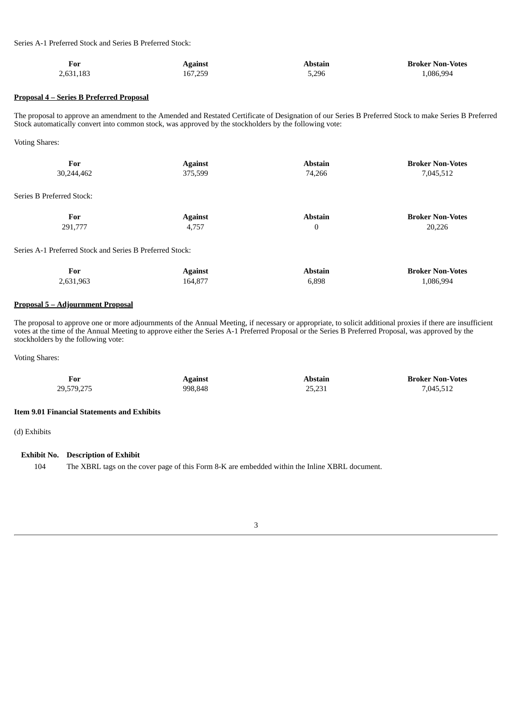Series A-1 Preferred Stock and Series B Preferred Stock:

| For<br>$\sim$ | Against | Abstair | <b>Broker Non-Votes</b> |
|---------------|---------|---------|-------------------------|
| 2,631,183     | 167,259 | 5,296   | .086.994                |

#### **Proposal 4 – Series B Preferred Proposal**

The proposal to approve an amendment to the Amended and Restated Certificate of Designation of our Series B Preferred Stock to make Series B Preferred Stock automatically convert into common stock, was approved by the stockholders by the following vote:

Voting Shares:

Series

| For                                                      | <b>Against</b> | <b>Abstain</b> | <b>Broker Non-Votes</b> |
|----------------------------------------------------------|----------------|----------------|-------------------------|
| 30,244,462                                               | 375,599        | 74,266         | 7,045,512               |
| Series B Preferred Stock:                                |                |                |                         |
| For                                                      | <b>Against</b> | <b>Abstain</b> | <b>Broker Non-Votes</b> |
| 291,777                                                  | 4,757          | $\mathbf{0}$   | 20,226                  |
| Series A-1 Preferred Stock and Series B Preferred Stock: |                |                |                         |
| For                                                      | <b>Against</b> | <b>Abstain</b> | <b>Broker Non-Votes</b> |
| 2,631,963                                                | 164,877        | 6,898          | 1,086,994               |

#### **Proposal 5 – Adjournment Proposal**

The proposal to approve one or more adjournments of the Annual Meeting, if necessary or appropriate, to solicit additional proxies if there are insufficient votes at the time of the Annual Meeting to approve either the Series A-1 Preferred Proposal or the Series B Preferred Proposal, was approved by the stockholders by the following vote:

Voting Shares:

| For        | <b>Against</b> | Abstain | <b>Broker Non-Votes</b> |
|------------|----------------|---------|-------------------------|
| 29,579,275 | 998.848        | 25,231  | 7,045,512               |

#### **Item 9.01 Financial Statements and Exhibits**

(d) Exhibits

**Exhibit No. Description of Exhibit**

104 The XBRL tags on the cover page of this Form 8-K are embedded within the Inline XBRL document.

3